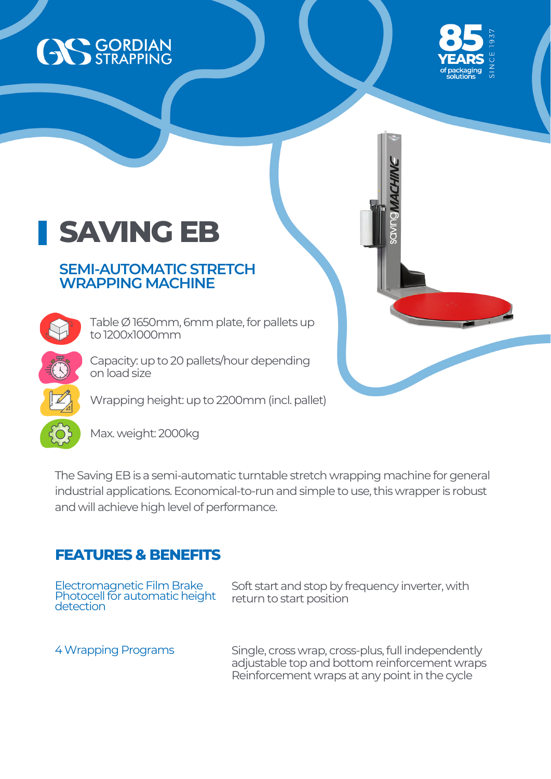



## **SAVING EB**

## **SEMI-AUTOMATIC STRETCH WRAPPING MACHINE**

Table  $\emptyset$  1650mm, 6mm plate, for pallets up to 1200x1000mm

Capacity: up to 20 pallets/hour depending on load size

Wrapping height: up to 2200mm (incl. pallet)

Max. weight: 2000kg

The Saving EB is a semi-automatic turntable stretch wrapping machine for general industrial applications. Economical-to-run and simple to use, this wrapper is robust and will achieve high level of performance.

## **FEATURES & BENEFITS**

| Electromagnetic Film Brake<br>Photocell for automatic height | Soft start and stop by frequency inverter, with                                                                                                      |
|--------------------------------------------------------------|------------------------------------------------------------------------------------------------------------------------------------------------------|
| detection                                                    | return to start position                                                                                                                             |
| 4 Wrapping Programs                                          | Single, cross wrap, cross-plus, full independently<br>adjustable top and bottom reinforcement wraps<br>Reinforcement wraps at any point in the cycle |